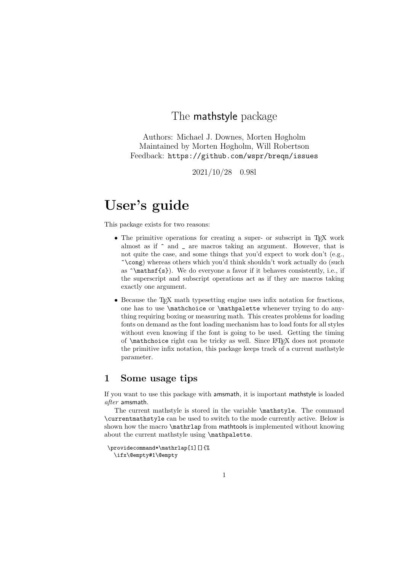### The mathstyle package

Authors: Michael J. Downes, Morten Høgholm Maintained by Morten Høgholm, Will Robertson Feedback: https://github.com/wspr/breqn/issues

2021/10/28 0.98l

# User's guide

This package exists for two reasons:

- The primitive operations for creating a super- or subscript in T<sub>EX</sub> work almost as if ^ and \_ are macros taking an argument. However, that is not quite the case, and some things that you'd expect to work don't (e.g., ^\cong) whereas others which you'd think shouldn't work actually do (such as ^\mathsf{s}). We do everyone a favor if it behaves consistently, i.e., if the superscript and subscript operations act as if they are macros taking exactly one argument.
- Because the T<sub>EX</sub> math typesetting engine uses infix notation for fractions, one has to use \mathchoice or \mathpalette whenever trying to do anything requiring boxing or measuring math. This creates problems for loading fonts on demand as the font loading mechanism has to load fonts for all styles without even knowing if the font is going to be used. Getting the timing of \mathchoice right can be tricky as well. Since LATEX does not promote the primitive infix notation, this package keeps track of a current mathstyle parameter.

### 1 Some usage tips

If you want to use this package with amsmath, it is important mathstyle is loaded after amsmath.

The current mathstyle is stored in the variable \mathstyle. The command \currentmathstyle can be used to switch to the mode currently active. Below is shown how the macro \mathrlap from mathtools is implemented without knowing about the current mathstyle using \mathpalette.

```
\providecommand*\mathrlap[1][]{%
 \ifx\@empty#1\@empty
```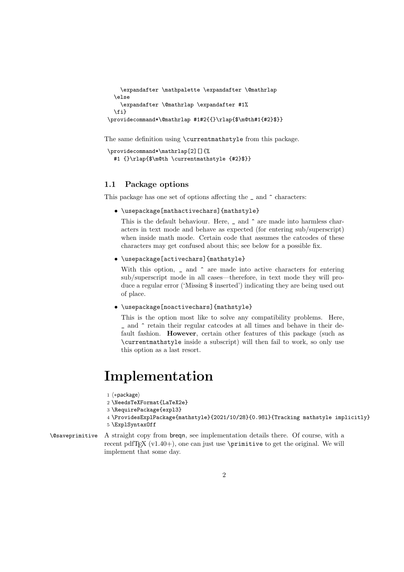```
\expandafter \mathpalette \expandafter \@mathrlap
 \else
   \expandafter \@mathrlap \expandafter #1%
 \fi}
\providecommand*\@mathrlap #1#2{{}\rlap{$\m@th#1{#2}$}}
```
The same definition using \currentmathstyle from this package.

```
\providecommand*\mathrlap[2][]{%
 #1 {}\rlap{$\m@th \currentmathstyle {#2}$}}
```
#### 1.1 Package options

This package has one set of options affecting the \_ and ^ characters:

• \usepackage[mathactivechars]{mathstyle}

This is the default behaviour. Here,  $\Box$  and  $\hat{ }$  are made into harmless characters in text mode and behave as expected (for entering sub/superscript) when inside math mode. Certain code that assumes the catcodes of these characters may get confused about this; see below for a possible fix.

• \usepackage[activechars]{mathstyle}

With this option,  $\Box$  and  $\hat{\ }$  are made into active characters for entering sub/superscript mode in all cases—therefore, in text mode they will produce a regular error ('Missing \$ inserted') indicating they are being used out of place.

• \usepackage[noactivechars]{mathstyle}

This is the option most like to solve any compatibility problems. Here, \_ and ^ retain their regular catcodes at all times and behave in their default fashion. However, certain other features of this package (such as \currentmathstyle inside a subscript) will then fail to work, so only use this option as a last resort.

## Implementation

1 (\*package)

2 \NeedsTeXFormat{LaTeX2e}

- 3 \RequirePackage{expl3}
- 4 \ProvidesExplPackage{mathstyle}{2021/10/28}{0.98l}{Tracking mathstyle implicitly}
- 5 \ExplSyntaxOff
- \@saveprimitive A straight copy from breqn, see implementation details there. Of course, with a recent pdfT $FX (v1.40+)$ , one can just use  $\primitive$  to get the original. We will implement that some day.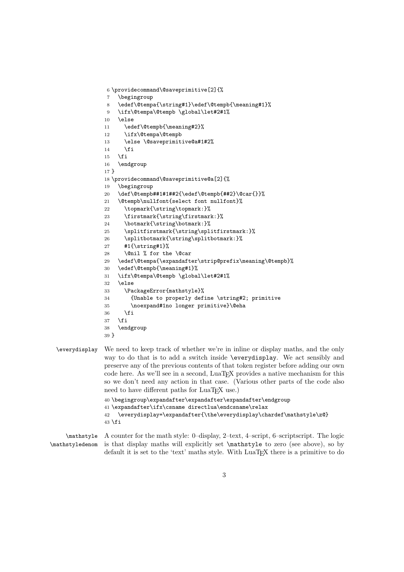```
6 \providecommand\@saveprimitive[2]{%
7 \begingroup
8 \edef\@tempa{\string#1}\edef\@tempb{\meaning#1}%
9 \ifx\@tempa\@tempb \global\let#2#1%
10 \else
11 \edef\@tempb{\meaning#2}%
12 \ifx\@tempa\@tempb
13 \else \@saveprimitive@a#1#2%
14 \fi
15 \fi
16 \endgroup
17 }
18 \providecommand\@saveprimitive@a[2]{%
19 \begingroup
20 \def\@tempb##1#1##2{\edef\@tempb{##2}\@car{}}%
21 \@tempb\nullfont{select font nullfont}%
22 \topmark{\string\topmark:}%
23 \firstmark{\string\firstmark:}%
24 \botmark{\string\botmark:}%
25 \splitfirstmark{\string\splitfirstmark:}%
26 \splitbotmark{\string\splitbotmark:}%
27 #1{\string#1}%
28 \@nil % for the \@car
29 \edef\@tempa{\expandafter\strip@prefix\meaning\@tempb}%
30 \edef\@tempb{\meaning#1}%
31 \ifx\@tempa\@tempb \global\let#2#1%
32 \else
33 \PackageError{mathstyle}%
34 {Unable to properly define \string#2; primitive
35 \noexpand#1no longer primitive}\@eha
36 \fi
37 \fi
38 \endgroup
39 }
```
#### \everydisplay We need to keep track of whether we're in inline or display maths, and the only way to do that is to add a switch inside \everydisplay. We act sensibly and preserve any of the previous contents of that token register before adding our own code here. As we'll see in a second, LuaT<sub>E</sub>X provides a native mechanism for this so we don't need any action in that case. (Various other parts of the code also need to have different paths for LuaT<sub>E</sub>X use.) \begingroup\expandafter\expandafter\expandafter\endgroup \expandafter\ifx\csname directlua\endcsname\relax

```
42 \everydisplay=\expandafter{\the\everydisplay\chardef\mathstyle\z@}
43 \fi
```
\mathstyle \mathstyledenom A counter for the math style: 0–display, 2–text, 4–script, 6–scriptscript. The logic is that display maths will explicitly set \mathstyle to zero (see above), so by default it is set to the 'text' maths style. With LuaT<sub>EX</sub> there is a primitive to do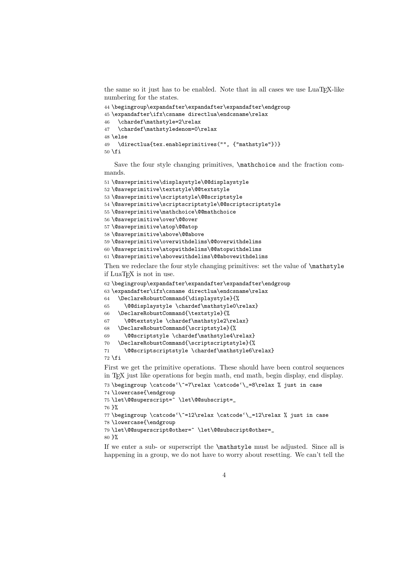the same so it just has to be enabled. Note that in all cases we use LuaTFX-like numbering for the states.

```
44 \begingroup\expandafter\expandafter\expandafter\endgroup
45 \expandafter\ifx\csname directlua\endcsname\relax
46 \chardef\mathstyle=2\relax
47 \chardef\mathstyledenom=0\relax
48 \else
49 \directlua{tex.enableprimitives("", {"mathstyle"})}
50 \fi
```
Save the four style changing primitives,  $\mathcal{L}$  and the fraction commands.

```
51 \@saveprimitive\displaystyle\@@displaystyle
52 \@saveprimitive\textstyle\@@textstyle
53 \@saveprimitive\scriptstyle\@@scriptstyle
54 \@saveprimitive\scriptscriptstyle\@@scriptscriptstyle
55 \@saveprimitive\mathchoice\@@mathchoice
56 \@saveprimitive\over\@@over
57 \@saveprimitive\atop\@@atop
58 \@saveprimitive\above\@@above
59 \@saveprimitive\overwithdelims\@@overwithdelims
60 \@saveprimitive\atopwithdelims\@@atopwithdelims
61 \@saveprimitive\abovewithdelims\@@abovewithdelims
```
Then we redeclare the four style changing primitives: set the value of  $\mathcal{L}_{\text{stack}}$ if LuaTEX is not in use.

```
62 \begingroup\expandafter\expandafter\expandafter\endgroup
```
\expandafter\ifx\csname directlua\endcsname\relax

```
64 \DeclareRobustCommand{\displaystyle}{%
```

```
65 \@@displaystyle \chardef\mathstyle0\relax}
```

```
66 \DeclareRobustCommand{\textstyle}{%
```

```
67 \@@textstyle \chardef\mathstyle2\relax}
```

```
68 \DeclareRobustCommand{\scriptstyle}{%
```

```
69 \@@scriptstyle \chardef\mathstyle4\relax}
```

```
70 \DeclareRobustCommand{\scriptscriptstyle}{%
```

```
71 \@@scriptscriptstyle \chardef\mathstyle6\relax}
```

```
72 \fi
```
First we get the primitive operations. These should have been control sequences in TEX just like operations for begin math, end math, begin display, end display.

```
73 \begingroup \catcode'\^=7\relax \catcode'\_=8\relax % just in case
74 \lowercase{\endgroup
75 \let\@@superscript=^ \let\@@subscript=_
76 }%
77 \begingroup \catcode'\^=12\relax \catcode'\_=12\relax % just in case
78 \lowercase{\endgroup
79 \let\@@superscript@other=^ \let\@@subscript@other=_
80 }%
```
If we enter a sub- or superscript the \mathstyle must be adjusted. Since all is happening in a group, we do not have to worry about resetting. We can't tell the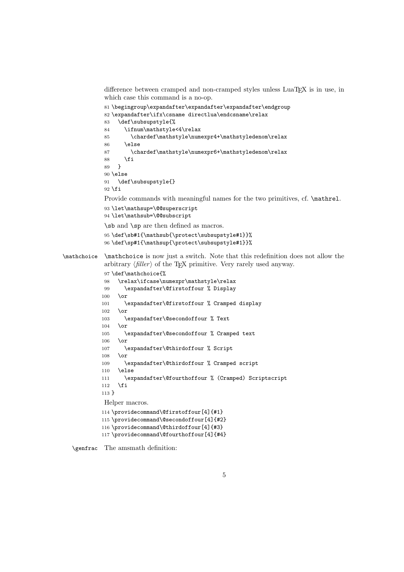difference between cramped and non-cramped styles unless LuaT<sub>E</sub>X is in use, in which case this command is a no-op.

```
81 \begingroup\expandafter\expandafter\expandafter\endgroup
             82 \expandafter\ifx\csname directlua\endcsname\relax
             83 \def\subsupstyle{%
             84 \ifnum\mathstyle<4\relax
             85 \chardef\mathstyle\numexpr4+\mathstyledenom\relax
             86 \else
             87 \chardef\mathstyle\numexpr6+\mathstyledenom\relax
             88 \fi<br>89 \}
             89 }
             90 \else
             91 \def\subsupstyle{}
             92 \setminus fiProvide commands with meaningful names for the two primitives, cf. \mathrel.
             93 \let\mathsup=\@@superscript
             94 \let\mathsub=\@@subscript
             \sb and \sp are then defined as macros.
             95 \def\sb#1{\mathsub{\protect\subsupstyle#1}}%
             96 \def\sp#1{\mathsup{\protect\subsupstyle#1}}%
\mathchoice \mathchoice is now just a switch. Note that this redefinition does not allow the
             arbitrary \langle filter \rangle of the T<sub>EX</sub> primitive. Very rarely used anyway.
             97 \def\mathchoice{%
             98 \relax\ifcase\numexpr\mathstyle\relax
             99 \expandafter\@firstoffour % Display
            100 \or
            101 \expandafter\@firstoffour % Cramped display
            102 \or
            103 \expandafter\@secondoffour % Text
            104 \or
            105 \expandafter\@secondoffour % Cramped text
            106 \or
            107 \expandafter\@thirdoffour % Script
            108 \or
            109 \expandafter\@thirdoffour % Cramped script
            110 \else
            111 \expandafter\@fourthoffour % (Cramped) Scriptscript
            112 \fi
            113 }
             Helper macros.
            114 \providecommand\@firstoffour[4]{#1}
            115 \providecommand\@secondoffour[4]{#2}
            116 \providecommand\@thirdoffour[4]{#3}
            117 \providecommand\@fourthoffour[4]{#4}
```
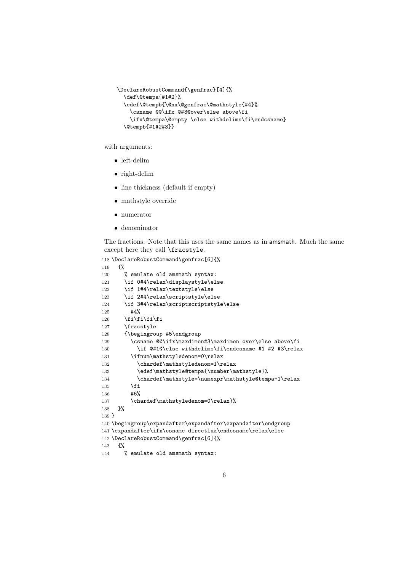```
\DeclareRobustCommand{\genfrac}[4]{%
  \def\@tempa{#1#2}%
  \edef\@tempb{\@nx\@genfrac\@mathstyle{#4}%
    \csname @@\ifx @#3@over\else above\fi
    \ifx\@tempa\@empty \else withdelims\fi\endcsname}
  \@tempb{#1#2#3}}
```
with arguments:

- left-delim
- right-delim
- line thickness (default if empty)
- mathstyle override
- numerator
- denominator

The fractions. Note that this uses the same names as in amsmath. Much the same except here they call \fracstyle.

```
118 \DeclareRobustCommand\genfrac[6]{%
119 {%
120 % emulate old amsmath syntax:
121 \if 0#4\relax\displaystyle\else
122 \if 1#4\relax\textstyle\else
123 \if 2#4\relax\scriptstyle\else
124 \if 3#4\relax\scriptscriptstyle\else
125 #4%
126 \fi\fi\fi\fi
127 \fracstyle
128 {\begingroup #5\endgroup
129 \csname @\ifx\maxdim#3\maxdim over\else above\fi
130 \if @#1@\else withdelims\fi\endcsname #1 #2 #3\relax
131 \ifnum\mathstyledenom=0\relax
132 \chardef\mathstyledenom=1\relax
133 \edef\mathstyle@tempa{\number\mathstyle}%
134 \chardef\mathstyle=\numexpr\mathstyle@tempa+1\relax
135 \overrightarrow{fi}136 #6%
137 \chardef\mathstyledenom=0\relax}%
138 }%
139 }
140 \begingroup\expandafter\expandafter\expandafter\endgroup
141 \expandafter\ifx\csname directlua\endcsname\relax\else
142 \DeclareRobustCommand\genfrac[6]{%
143 {%
144 % emulate old amsmath syntax:
```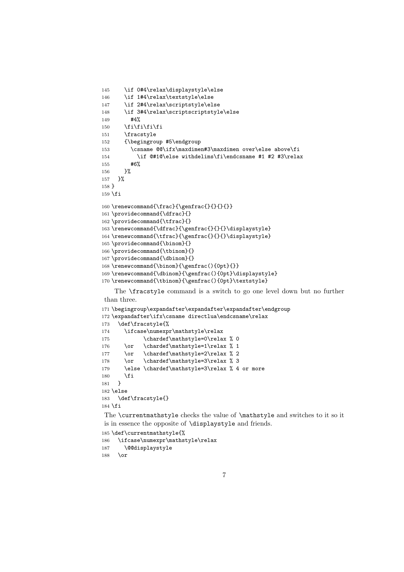```
145 \if 0#4\relax\displaystyle\else
146 \if 1#4\relax\textstyle\else
147 \if 2#4\relax\scriptstyle\else
148 \if 3#4\relax\scriptscriptstyle\else
149 #4%
150 \fi\fi\fi\fi
151 \fracstyle
152 {\begingroup #5\endgroup
153 \csname @@\ifx\maxdimen#3\maxdimen over\else above\fi
154 \if @#1@\else withdelims\fi\endcsname #1 #2 #3\relax
155 #6%
156 }%
157 }%
158 }
159 \fi
160 \renewcommand{\frac}{\genfrac{}{}{}{}}}
161 \providecommand{\dfrac}{}
162 \providecommand{\tfrac}{}
163 \renewcommand{\dfrac}{\genfrac{}{}{}\displaystyle}
164 \renewcommand{\tfrac}{\genfrac{}{}{}\displaystyle}
165 \providecommand{\binom}{}
166 \providecommand{\tbinom}{}
167 \providecommand{\dbinom}{}
168 \renewcommand{\binom}{\genfrac(){0pt}{}}
169 \renewcommand{\dbinom}{\genfrac(){0pt}\displaystyle}
170 \renewcommand{\tbinom}{\genfrac(){0pt}\textstyle}
```
The \fracstyle command is a switch to go one level down but no further than three.

```
171 \begingroup\expandafter\expandafter\expandafter\endgroup
172 \expandafter\ifx\csname directlua\endcsname\relax
173 \def\fracstyle{%
174 \ifcase\numexpr\mathstyle\relax
175 \chardef\mathstyle=0\relax % 0
176 \or \chardef\mathstyle=1\relax % 1
177 \or \chardef\mathstyle=2\relax % 2
178 \or \chardef\mathstyle=3\relax % 3
179 \else \chardef\mathstyle=3\relax % 4 or more
180 \fi
181 }
182 \else
183 \def\fracstyle{}
184 \text{ t}
```
The \currentmathstyle checks the value of \mathstyle and switches to it so it is in essence the opposite of \displaystyle and friends.

```
185 \def\currentmathstyle{%
186 \ifcase\numexpr\mathstyle\relax
187 \@@displaystyle
188 \or
```